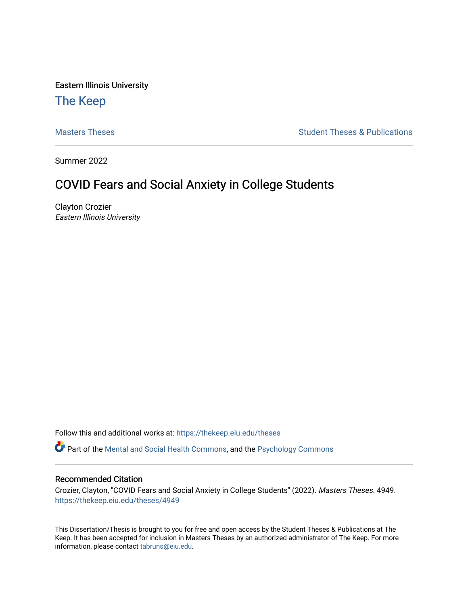Eastern Illinois University

# [The Keep](https://thekeep.eiu.edu/)

[Masters Theses](https://thekeep.eiu.edu/theses) **Student Theses & Publications** Student Theses & Publications

Summer 2022

# COVID Fears and Social Anxiety in College Students

Clayton Crozier Eastern Illinois University

Follow this and additional works at: [https://thekeep.eiu.edu/theses](https://thekeep.eiu.edu/theses?utm_source=thekeep.eiu.edu%2Ftheses%2F4949&utm_medium=PDF&utm_campaign=PDFCoverPages)

Part of the [Mental and Social Health Commons,](https://network.bepress.com/hgg/discipline/709?utm_source=thekeep.eiu.edu%2Ftheses%2F4949&utm_medium=PDF&utm_campaign=PDFCoverPages) and the [Psychology Commons](https://network.bepress.com/hgg/discipline/404?utm_source=thekeep.eiu.edu%2Ftheses%2F4949&utm_medium=PDF&utm_campaign=PDFCoverPages)

## Recommended Citation

Crozier, Clayton, "COVID Fears and Social Anxiety in College Students" (2022). Masters Theses. 4949. [https://thekeep.eiu.edu/theses/4949](https://thekeep.eiu.edu/theses/4949?utm_source=thekeep.eiu.edu%2Ftheses%2F4949&utm_medium=PDF&utm_campaign=PDFCoverPages) 

This Dissertation/Thesis is brought to you for free and open access by the Student Theses & Publications at The Keep. It has been accepted for inclusion in Masters Theses by an authorized administrator of The Keep. For more information, please contact [tabruns@eiu.edu](mailto:tabruns@eiu.edu).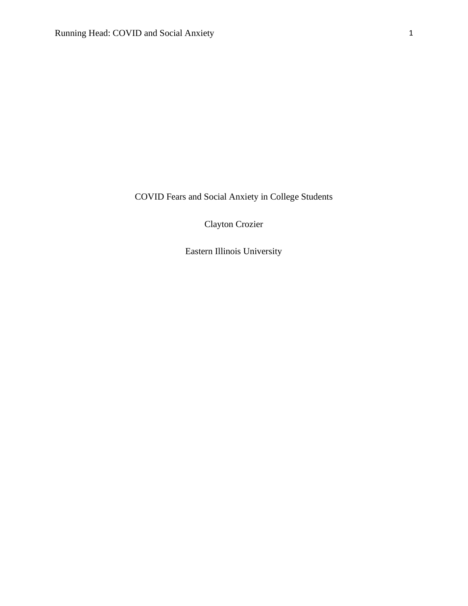COVID Fears and Social Anxiety in College Students

Clayton Crozier

Eastern Illinois University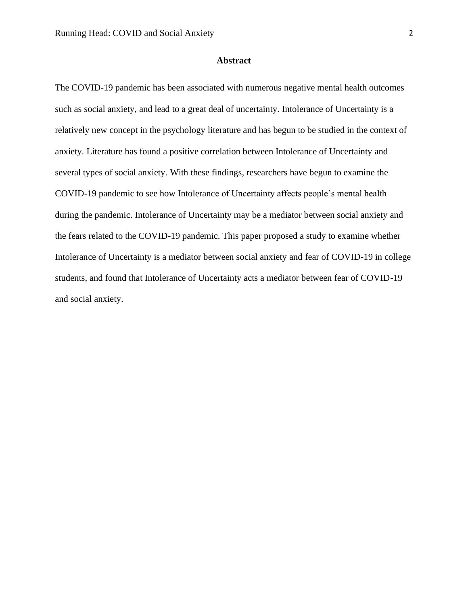## **Abstract**

The COVID-19 pandemic has been associated with numerous negative mental health outcomes such as social anxiety, and lead to a great deal of uncertainty. Intolerance of Uncertainty is a relatively new concept in the psychology literature and has begun to be studied in the context of anxiety. Literature has found a positive correlation between Intolerance of Uncertainty and several types of social anxiety. With these findings, researchers have begun to examine the COVID-19 pandemic to see how Intolerance of Uncertainty affects people's mental health during the pandemic. Intolerance of Uncertainty may be a mediator between social anxiety and the fears related to the COVID-19 pandemic. This paper proposed a study to examine whether Intolerance of Uncertainty is a mediator between social anxiety and fear of COVID-19 in college students, and found that Intolerance of Uncertainty acts a mediator between fear of COVID-19 and social anxiety.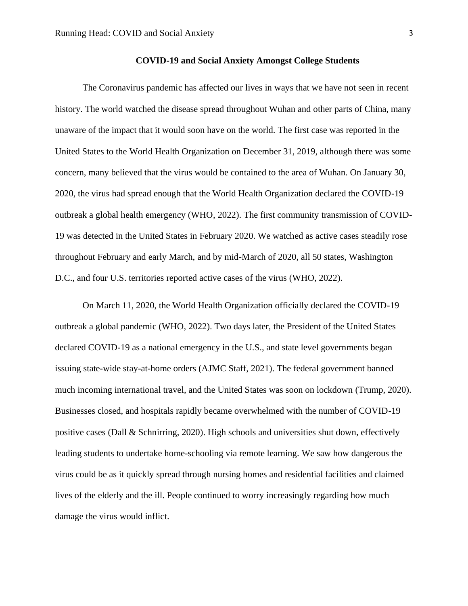The Coronavirus pandemic has affected our lives in ways that we have not seen in recent history. The world watched the disease spread throughout Wuhan and other parts of China, many unaware of the impact that it would soon have on the world. The first case was reported in the United States to the World Health Organization on December 31, 2019, although there was some concern, many believed that the virus would be contained to the area of Wuhan. On January 30, 2020, the virus had spread enough that the World Health Organization declared the COVID-19 outbreak a global health emergency (WHO, 2022). The first community transmission of COVID-19 was detected in the United States in February 2020. We watched as active cases steadily rose throughout February and early March, and by mid-March of 2020, all 50 states, Washington D.C., and four U.S. territories reported active cases of the virus (WHO, 2022).

On March 11, 2020, the World Health Organization officially declared the COVID-19 outbreak a global pandemic (WHO, 2022). Two days later, the President of the United States declared COVID-19 as a national emergency in the U.S., and state level governments began issuing state-wide stay-at-home orders (AJMC Staff, 2021). The federal government banned much incoming international travel, and the United States was soon on lockdown (Trump, 2020). Businesses closed, and hospitals rapidly became overwhelmed with the number of COVID-19 positive cases (Dall & Schnirring, 2020). High schools and universities shut down, effectively leading students to undertake home-schooling via remote learning. We saw how dangerous the virus could be as it quickly spread through nursing homes and residential facilities and claimed lives of the elderly and the ill. People continued to worry increasingly regarding how much damage the virus would inflict.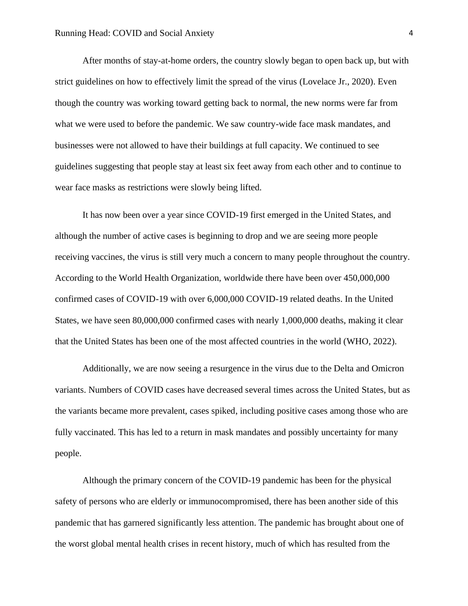After months of stay-at-home orders, the country slowly began to open back up, but with strict guidelines on how to effectively limit the spread of the virus (Lovelace Jr., 2020). Even though the country was working toward getting back to normal, the new norms were far from what we were used to before the pandemic. We saw country-wide face mask mandates, and businesses were not allowed to have their buildings at full capacity. We continued to see guidelines suggesting that people stay at least six feet away from each other and to continue to wear face masks as restrictions were slowly being lifted.

It has now been over a year since COVID-19 first emerged in the United States, and although the number of active cases is beginning to drop and we are seeing more people receiving vaccines, the virus is still very much a concern to many people throughout the country. According to the World Health Organization, worldwide there have been over 450,000,000 confirmed cases of COVID-19 with over 6,000,000 COVID-19 related deaths. In the United States, we have seen 80,000,000 confirmed cases with nearly 1,000,000 deaths, making it clear that the United States has been one of the most affected countries in the world (WHO, 2022).

Additionally, we are now seeing a resurgence in the virus due to the Delta and Omicron variants. Numbers of COVID cases have decreased several times across the United States, but as the variants became more prevalent, cases spiked, including positive cases among those who are fully vaccinated. This has led to a return in mask mandates and possibly uncertainty for many people.

Although the primary concern of the COVID-19 pandemic has been for the physical safety of persons who are elderly or immunocompromised, there has been another side of this pandemic that has garnered significantly less attention. The pandemic has brought about one of the worst global mental health crises in recent history, much of which has resulted from the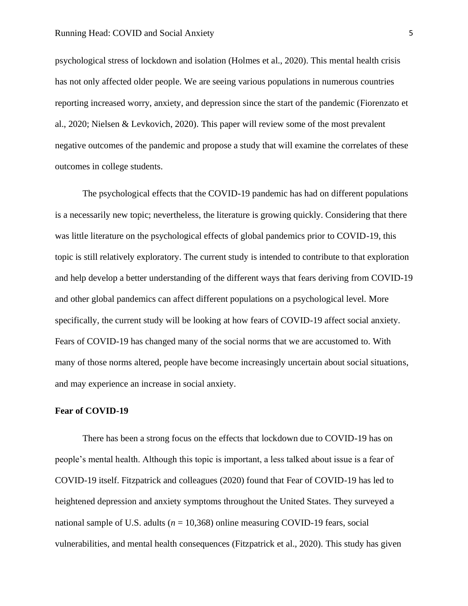#### Running Head: COVID and Social Anxiety 5

psychological stress of lockdown and isolation (Holmes et al., 2020). This mental health crisis has not only affected older people. We are seeing various populations in numerous countries reporting increased worry, anxiety, and depression since the start of the pandemic (Fiorenzato et al., 2020; Nielsen & Levkovich, 2020). This paper will review some of the most prevalent negative outcomes of the pandemic and propose a study that will examine the correlates of these outcomes in college students.

The psychological effects that the COVID-19 pandemic has had on different populations is a necessarily new topic; nevertheless, the literature is growing quickly. Considering that there was little literature on the psychological effects of global pandemics prior to COVID-19, this topic is still relatively exploratory. The current study is intended to contribute to that exploration and help develop a better understanding of the different ways that fears deriving from COVID-19 and other global pandemics can affect different populations on a psychological level. More specifically, the current study will be looking at how fears of COVID-19 affect social anxiety. Fears of COVID-19 has changed many of the social norms that we are accustomed to. With many of those norms altered, people have become increasingly uncertain about social situations, and may experience an increase in social anxiety.

#### **Fear of COVID-19**

There has been a strong focus on the effects that lockdown due to COVID-19 has on people's mental health. Although this topic is important, a less talked about issue is a fear of COVID-19 itself. Fitzpatrick and colleagues (2020) found that Fear of COVID-19 has led to heightened depression and anxiety symptoms throughout the United States. They surveyed a national sample of U.S. adults ( $n = 10,368$ ) online measuring COVID-19 fears, social vulnerabilities, and mental health consequences (Fitzpatrick et al., 2020). This study has given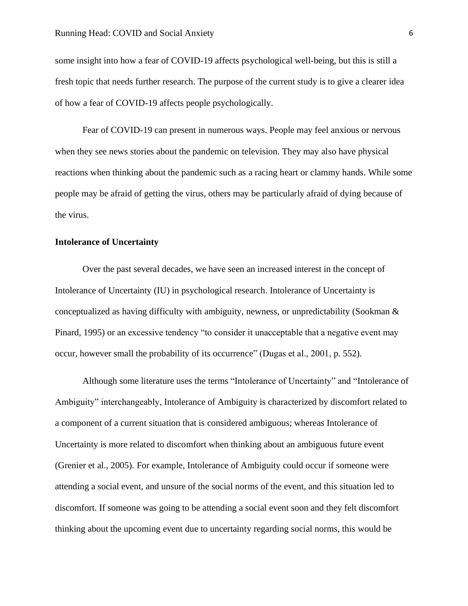some insight into how a fear of COVID-19 affects psychological well-being, but this is still a fresh topic that needs further research. The purpose of the current study is to give a clearer idea of how a fear of COVID-19 affects people psychologically.

Fear of COVID-19 can present in numerous ways. People may feel anxious or nervous when they see news stories about the pandemic on television. They may also have physical reactions when thinking about the pandemic such as a racing heart or clammy hands. While some people may be afraid of getting the virus, others may be particularly afraid of dying because of the virus.

#### **Intolerance of Uncertainty**

Over the past several decades, we have seen an increased interest in the concept of Intolerance of Uncertainty (IU) in psychological research. Intolerance of Uncertainty is conceptualized as having difficulty with ambiguity, newness, or unpredictability (Sookman  $\&$ Pinard, 1995) or an excessive tendency "to consider it unacceptable that a negative event may occur, however small the probability of its occurrence" (Dugas et al., 2001, p. 552).

Although some literature uses the terms "Intolerance of Uncertainty" and "Intolerance of Ambiguity" interchangeably, Intolerance of Ambiguity is characterized by discomfort related to a component of a current situation that is considered ambiguous; whereas Intolerance of Uncertainty is more related to discomfort when thinking about an ambiguous future event (Grenier et al., 2005). For example, Intolerance of Ambiguity could occur if someone were attending a social event, and unsure of the social norms of the event, and this situation led to discomfort. If someone was going to be attending a social event soon and they felt discomfort thinking about the upcoming event due to uncertainty regarding social norms, this would be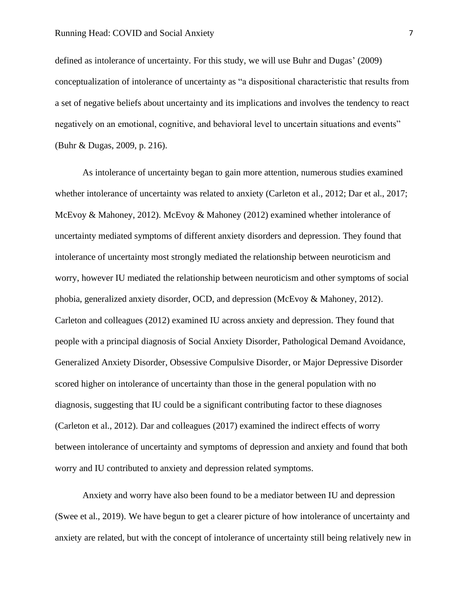defined as intolerance of uncertainty. For this study, we will use Buhr and Dugas' (2009) conceptualization of intolerance of uncertainty as "a dispositional characteristic that results from a set of negative beliefs about uncertainty and its implications and involves the tendency to react negatively on an emotional, cognitive, and behavioral level to uncertain situations and events" (Buhr & Dugas, 2009, p. 216).

As intolerance of uncertainty began to gain more attention, numerous studies examined whether intolerance of uncertainty was related to anxiety (Carleton et al., 2012; Dar et al., 2017; McEvoy & Mahoney, 2012). McEvoy & Mahoney (2012) examined whether intolerance of uncertainty mediated symptoms of different anxiety disorders and depression. They found that intolerance of uncertainty most strongly mediated the relationship between neuroticism and worry, however IU mediated the relationship between neuroticism and other symptoms of social phobia, generalized anxiety disorder, OCD, and depression (McEvoy & Mahoney, 2012). Carleton and colleagues (2012) examined IU across anxiety and depression. They found that people with a principal diagnosis of Social Anxiety Disorder, Pathological Demand Avoidance, Generalized Anxiety Disorder, Obsessive Compulsive Disorder, or Major Depressive Disorder scored higher on intolerance of uncertainty than those in the general population with no diagnosis, suggesting that IU could be a significant contributing factor to these diagnoses (Carleton et al., 2012). Dar and colleagues (2017) examined the indirect effects of worry between intolerance of uncertainty and symptoms of depression and anxiety and found that both worry and IU contributed to anxiety and depression related symptoms.

Anxiety and worry have also been found to be a mediator between IU and depression (Swee et al., 2019). We have begun to get a clearer picture of how intolerance of uncertainty and anxiety are related, but with the concept of intolerance of uncertainty still being relatively new in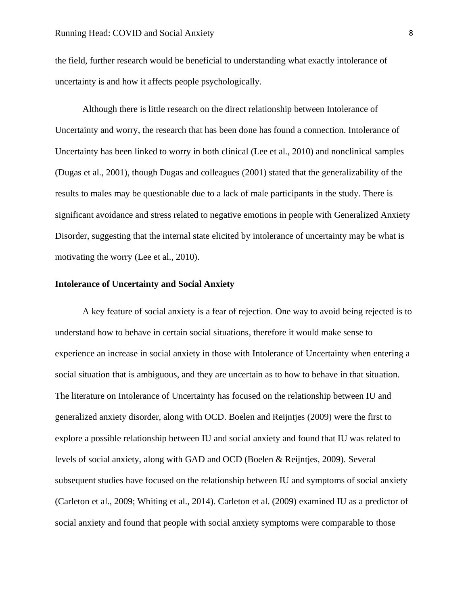the field, further research would be beneficial to understanding what exactly intolerance of uncertainty is and how it affects people psychologically.

Although there is little research on the direct relationship between Intolerance of Uncertainty and worry, the research that has been done has found a connection. Intolerance of Uncertainty has been linked to worry in both clinical (Lee et al., 2010) and nonclinical samples (Dugas et al., 2001), though Dugas and colleagues (2001) stated that the generalizability of the results to males may be questionable due to a lack of male participants in the study. There is significant avoidance and stress related to negative emotions in people with Generalized Anxiety Disorder, suggesting that the internal state elicited by intolerance of uncertainty may be what is motivating the worry (Lee et al., 2010).

## **Intolerance of Uncertainty and Social Anxiety**

A key feature of social anxiety is a fear of rejection. One way to avoid being rejected is to understand how to behave in certain social situations, therefore it would make sense to experience an increase in social anxiety in those with Intolerance of Uncertainty when entering a social situation that is ambiguous, and they are uncertain as to how to behave in that situation. The literature on Intolerance of Uncertainty has focused on the relationship between IU and generalized anxiety disorder, along with OCD. Boelen and Reijntjes (2009) were the first to explore a possible relationship between IU and social anxiety and found that IU was related to levels of social anxiety, along with GAD and OCD (Boelen & Reijntjes, 2009). Several subsequent studies have focused on the relationship between IU and symptoms of social anxiety (Carleton et al., 2009; Whiting et al., 2014). Carleton et al. (2009) examined IU as a predictor of social anxiety and found that people with social anxiety symptoms were comparable to those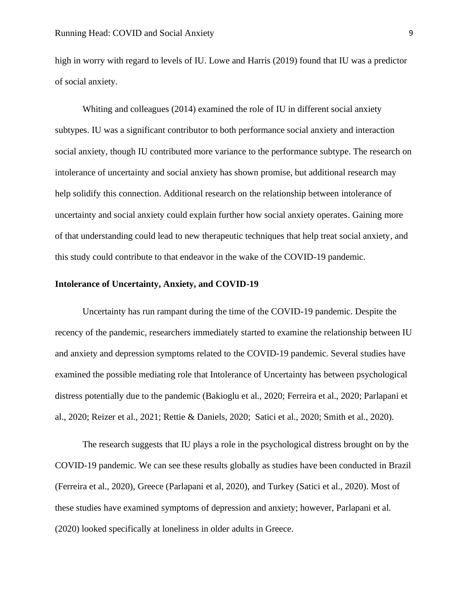high in worry with regard to levels of IU. Lowe and Harris (2019) found that IU was a predictor of social anxiety.

Whiting and colleagues (2014) examined the role of IU in different social anxiety subtypes. IU was a significant contributor to both performance social anxiety and interaction social anxiety, though IU contributed more variance to the performance subtype. The research on intolerance of uncertainty and social anxiety has shown promise, but additional research may help solidify this connection. Additional research on the relationship between intolerance of uncertainty and social anxiety could explain further how social anxiety operates. Gaining more of that understanding could lead to new therapeutic techniques that help treat social anxiety, and this study could contribute to that endeavor in the wake of the COVID-19 pandemic.

## **Intolerance of Uncertainty, Anxiety, and COVID-19**

Uncertainty has run rampant during the time of the COVID-19 pandemic. Despite the recency of the pandemic, researchers immediately started to examine the relationship between IU and anxiety and depression symptoms related to the COVID-19 pandemic. Several studies have examined the possible mediating role that Intolerance of Uncertainty has between psychological distress potentially due to the pandemic (Bakioglu et al., 2020; Ferreira et al., 2020; Parlapani et al., 2020; Reizer et al., 2021; Rettie & Daniels, 2020; Satici et al., 2020; Smith et al., 2020).

The research suggests that IU plays a role in the psychological distress brought on by the COVID-19 pandemic. We can see these results globally as studies have been conducted in Brazil (Ferreira et al., 2020), Greece (Parlapani et al, 2020), and Turkey (Satici et al., 2020). Most of these studies have examined symptoms of depression and anxiety; however, Parlapani et al. (2020) looked specifically at loneliness in older adults in Greece.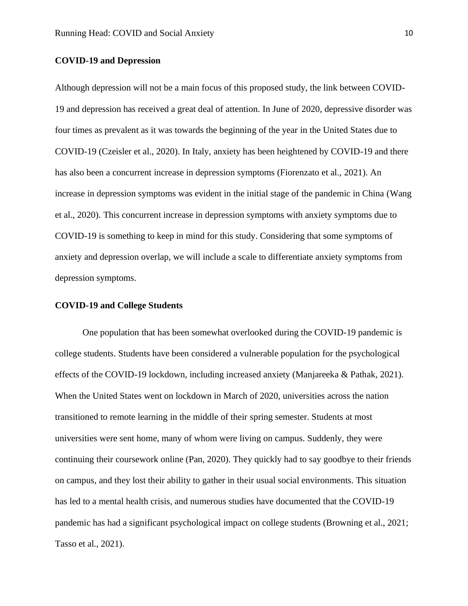#### **COVID-19 and Depression**

Although depression will not be a main focus of this proposed study, the link between COVID-19 and depression has received a great deal of attention. In June of 2020, depressive disorder was four times as prevalent as it was towards the beginning of the year in the United States due to COVID-19 (Czeisler et al., 2020). In Italy, anxiety has been heightened by COVID-19 and there has also been a concurrent increase in depression symptoms (Fiorenzato et al., 2021). An increase in depression symptoms was evident in the initial stage of the pandemic in China (Wang et al., 2020). This concurrent increase in depression symptoms with anxiety symptoms due to COVID-19 is something to keep in mind for this study. Considering that some symptoms of anxiety and depression overlap, we will include a scale to differentiate anxiety symptoms from depression symptoms.

### **COVID-19 and College Students**

One population that has been somewhat overlooked during the COVID-19 pandemic is college students. Students have been considered a vulnerable population for the psychological effects of the COVID-19 lockdown, including increased anxiety (Manjareeka & Pathak, 2021). When the United States went on lockdown in March of 2020, universities across the nation transitioned to remote learning in the middle of their spring semester. Students at most universities were sent home, many of whom were living on campus. Suddenly, they were continuing their coursework online (Pan, 2020). They quickly had to say goodbye to their friends on campus, and they lost their ability to gather in their usual social environments. This situation has led to a mental health crisis, and numerous studies have documented that the COVID-19 pandemic has had a significant psychological impact on college students (Browning et al., 2021; Tasso et al., 2021).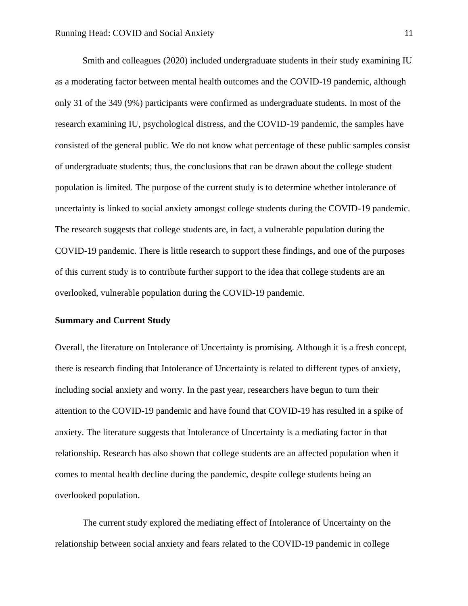Smith and colleagues (2020) included undergraduate students in their study examining IU as a moderating factor between mental health outcomes and the COVID-19 pandemic, although only 31 of the 349 (9%) participants were confirmed as undergraduate students. In most of the research examining IU, psychological distress, and the COVID-19 pandemic, the samples have consisted of the general public. We do not know what percentage of these public samples consist of undergraduate students; thus, the conclusions that can be drawn about the college student population is limited. The purpose of the current study is to determine whether intolerance of uncertainty is linked to social anxiety amongst college students during the COVID-19 pandemic. The research suggests that college students are, in fact, a vulnerable population during the COVID-19 pandemic. There is little research to support these findings, and one of the purposes of this current study is to contribute further support to the idea that college students are an overlooked, vulnerable population during the COVID-19 pandemic.

## **Summary and Current Study**

Overall, the literature on Intolerance of Uncertainty is promising. Although it is a fresh concept, there is research finding that Intolerance of Uncertainty is related to different types of anxiety, including social anxiety and worry. In the past year, researchers have begun to turn their attention to the COVID-19 pandemic and have found that COVID-19 has resulted in a spike of anxiety. The literature suggests that Intolerance of Uncertainty is a mediating factor in that relationship. Research has also shown that college students are an affected population when it comes to mental health decline during the pandemic, despite college students being an overlooked population.

The current study explored the mediating effect of Intolerance of Uncertainty on the relationship between social anxiety and fears related to the COVID-19 pandemic in college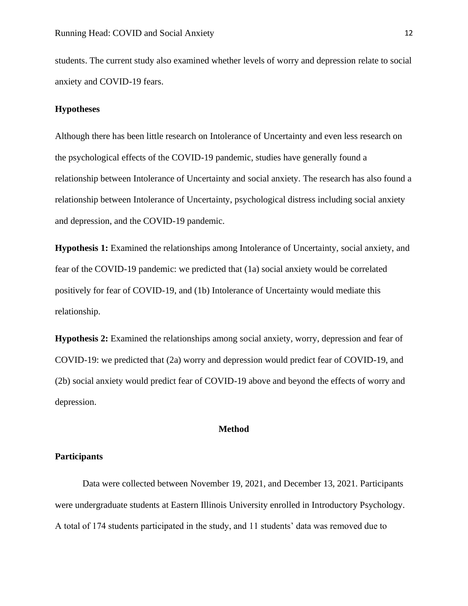students. The current study also examined whether levels of worry and depression relate to social anxiety and COVID-19 fears.

## **Hypotheses**

Although there has been little research on Intolerance of Uncertainty and even less research on the psychological effects of the COVID-19 pandemic, studies have generally found a relationship between Intolerance of Uncertainty and social anxiety. The research has also found a relationship between Intolerance of Uncertainty, psychological distress including social anxiety and depression, and the COVID-19 pandemic.

**Hypothesis 1:** Examined the relationships among Intolerance of Uncertainty, social anxiety, and fear of the COVID-19 pandemic: we predicted that (1a) social anxiety would be correlated positively for fear of COVID-19, and (1b) Intolerance of Uncertainty would mediate this relationship.

**Hypothesis 2:** Examined the relationships among social anxiety, worry, depression and fear of COVID-19: we predicted that (2a) worry and depression would predict fear of COVID-19, and (2b) social anxiety would predict fear of COVID-19 above and beyond the effects of worry and depression.

### **Method**

### **Participants**

Data were collected between November 19, 2021, and December 13, 2021. Participants were undergraduate students at Eastern Illinois University enrolled in Introductory Psychology. A total of 174 students participated in the study, and 11 students' data was removed due to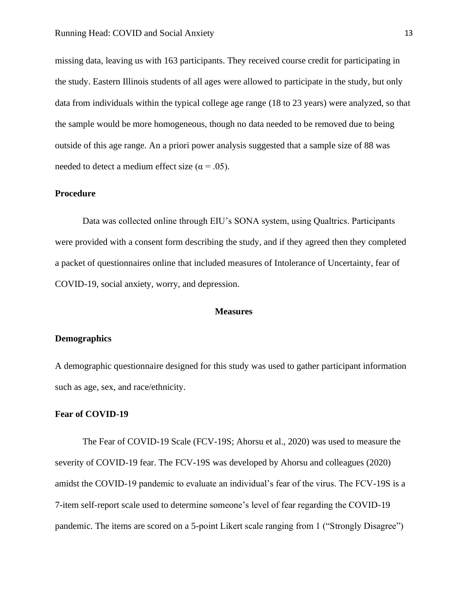missing data, leaving us with 163 participants. They received course credit for participating in the study. Eastern Illinois students of all ages were allowed to participate in the study, but only data from individuals within the typical college age range (18 to 23 years) were analyzed, so that the sample would be more homogeneous, though no data needed to be removed due to being outside of this age range. An a priori power analysis suggested that a sample size of 88 was needed to detect a medium effect size ( $\alpha$  = .05).

#### **Procedure**

Data was collected online through EIU's SONA system, using Qualtrics. Participants were provided with a consent form describing the study, and if they agreed then they completed a packet of questionnaires online that included measures of Intolerance of Uncertainty, fear of COVID-19, social anxiety, worry, and depression.

#### **Measures**

#### **Demographics**

A demographic questionnaire designed for this study was used to gather participant information such as age, sex, and race/ethnicity.

#### **Fear of COVID-19**

The Fear of COVID-19 Scale (FCV-19S; Ahorsu et al., 2020) was used to measure the severity of COVID-19 fear. The FCV-19S was developed by Ahorsu and colleagues (2020) amidst the COVID-19 pandemic to evaluate an individual's fear of the virus. The FCV-19S is a 7-item self-report scale used to determine someone's level of fear regarding the COVID-19 pandemic. The items are scored on a 5-point Likert scale ranging from 1 ("Strongly Disagree")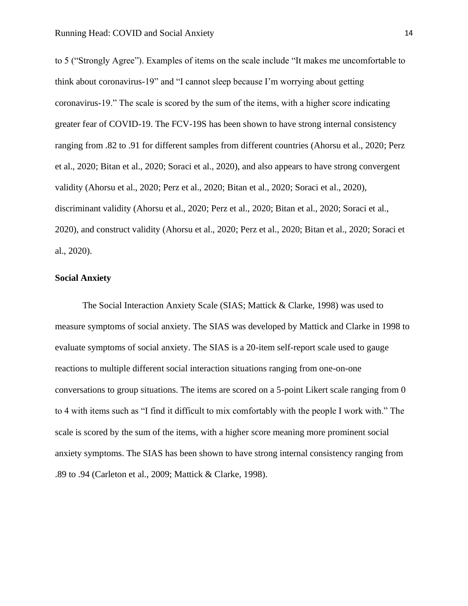to 5 ("Strongly Agree"). Examples of items on the scale include "It makes me uncomfortable to think about coronavirus-19" and "I cannot sleep because I'm worrying about getting coronavirus-19." The scale is scored by the sum of the items, with a higher score indicating greater fear of COVID-19. The FCV-19S has been shown to have strong internal consistency ranging from .82 to .91 for different samples from different countries (Ahorsu et al., 2020; Perz et al., 2020; Bitan et al., 2020; Soraci et al., 2020), and also appears to have strong convergent validity (Ahorsu et al., 2020; Perz et al., 2020; Bitan et al., 2020; Soraci et al., 2020), discriminant validity (Ahorsu et al., 2020; Perz et al., 2020; Bitan et al., 2020; Soraci et al., 2020), and construct validity (Ahorsu et al., 2020; Perz et al., 2020; Bitan et al., 2020; Soraci et al., 2020).

## **Social Anxiety**

The Social Interaction Anxiety Scale (SIAS; Mattick & Clarke, 1998) was used to measure symptoms of social anxiety. The SIAS was developed by Mattick and Clarke in 1998 to evaluate symptoms of social anxiety. The SIAS is a 20-item self-report scale used to gauge reactions to multiple different social interaction situations ranging from one-on-one conversations to group situations. The items are scored on a 5-point Likert scale ranging from 0 to 4 with items such as "I find it difficult to mix comfortably with the people I work with." The scale is scored by the sum of the items, with a higher score meaning more prominent social anxiety symptoms. The SIAS has been shown to have strong internal consistency ranging from .89 to .94 (Carleton et al., 2009; Mattick & Clarke, 1998).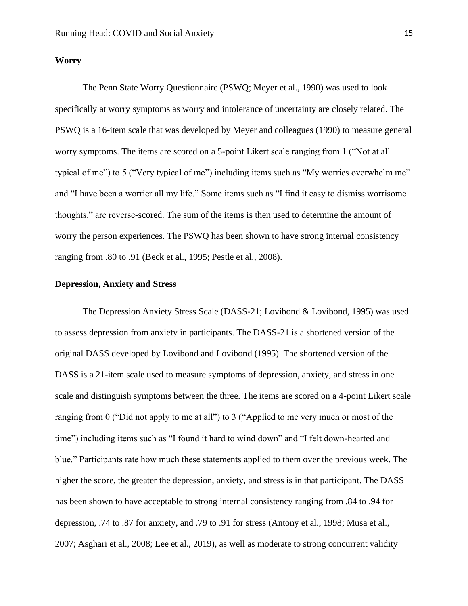#### **Worry**

The Penn State Worry Questionnaire (PSWQ; Meyer et al., 1990) was used to look specifically at worry symptoms as worry and intolerance of uncertainty are closely related. The PSWQ is a 16-item scale that was developed by Meyer and colleagues (1990) to measure general worry symptoms. The items are scored on a 5-point Likert scale ranging from 1 ("Not at all typical of me") to 5 ("Very typical of me") including items such as "My worries overwhelm me" and "I have been a worrier all my life." Some items such as "I find it easy to dismiss worrisome thoughts." are reverse-scored. The sum of the items is then used to determine the amount of worry the person experiences. The PSWQ has been shown to have strong internal consistency ranging from .80 to .91 (Beck et al., 1995; Pestle et al., 2008).

## **Depression, Anxiety and Stress**

The Depression Anxiety Stress Scale (DASS-21; Lovibond & Lovibond, 1995) was used to assess depression from anxiety in participants. The DASS-21 is a shortened version of the original DASS developed by Lovibond and Lovibond (1995). The shortened version of the DASS is a 21-item scale used to measure symptoms of depression, anxiety, and stress in one scale and distinguish symptoms between the three. The items are scored on a 4-point Likert scale ranging from 0 ("Did not apply to me at all") to 3 ("Applied to me very much or most of the time") including items such as "I found it hard to wind down" and "I felt down-hearted and blue." Participants rate how much these statements applied to them over the previous week. The higher the score, the greater the depression, anxiety, and stress is in that participant. The DASS has been shown to have acceptable to strong internal consistency ranging from .84 to .94 for depression, .74 to .87 for anxiety, and .79 to .91 for stress (Antony et al., 1998; Musa et al., 2007; Asghari et al., 2008; Lee et al., 2019), as well as moderate to strong concurrent validity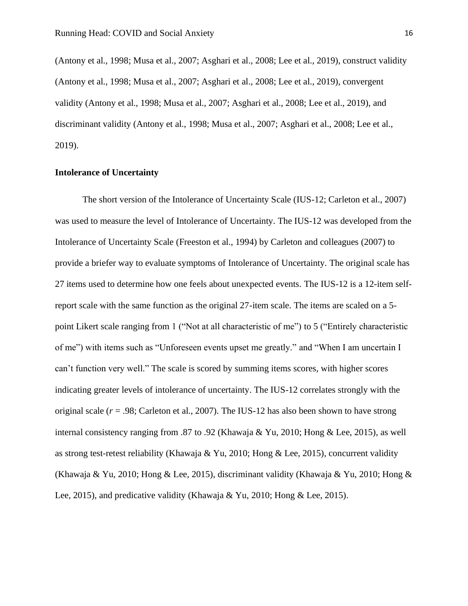(Antony et al., 1998; Musa et al., 2007; Asghari et al., 2008; Lee et al., 2019), construct validity (Antony et al., 1998; Musa et al., 2007; Asghari et al., 2008; Lee et al., 2019), convergent validity (Antony et al., 1998; Musa et al., 2007; Asghari et al., 2008; Lee et al., 2019), and discriminant validity (Antony et al., 1998; Musa et al., 2007; Asghari et al., 2008; Lee et al., 2019).

## **Intolerance of Uncertainty**

The short version of the Intolerance of Uncertainty Scale (IUS-12; Carleton et al., 2007) was used to measure the level of Intolerance of Uncertainty. The IUS-12 was developed from the Intolerance of Uncertainty Scale (Freeston et al., 1994) by Carleton and colleagues (2007) to provide a briefer way to evaluate symptoms of Intolerance of Uncertainty. The original scale has 27 items used to determine how one feels about unexpected events. The IUS-12 is a 12-item selfreport scale with the same function as the original 27-item scale. The items are scaled on a 5 point Likert scale ranging from 1 ("Not at all characteristic of me") to 5 ("Entirely characteristic of me") with items such as "Unforeseen events upset me greatly." and "When I am uncertain I can't function very well." The scale is scored by summing items scores, with higher scores indicating greater levels of intolerance of uncertainty. The IUS-12 correlates strongly with the original scale (*r* = .98; Carleton et al., 2007). The IUS-12 has also been shown to have strong internal consistency ranging from .87 to .92 (Khawaja & Yu, 2010; Hong & Lee, 2015), as well as strong test-retest reliability (Khawaja & Yu, 2010; Hong & Lee, 2015), concurrent validity (Khawaja & Yu, 2010; Hong & Lee, 2015), discriminant validity (Khawaja & Yu, 2010; Hong & Lee, 2015), and predicative validity (Khawaja & Yu, 2010; Hong & Lee, 2015).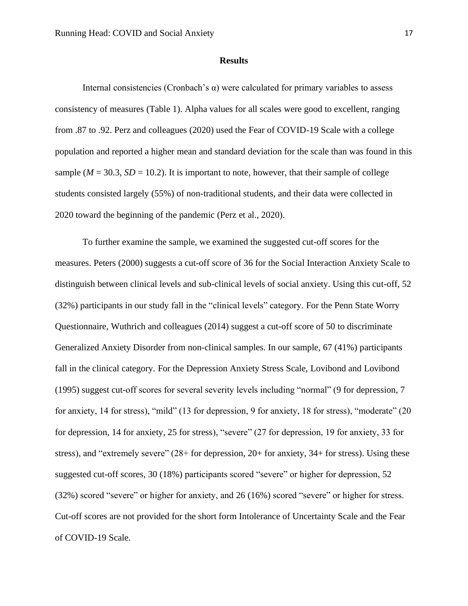#### **Results**

Internal consistencies (Cronbach's  $\alpha$ ) were calculated for primary variables to assess consistency of measures (Table 1). Alpha values for all scales were good to excellent, ranging from .87 to .92. Perz and colleagues (2020) used the Fear of COVID-19 Scale with a college population and reported a higher mean and standard deviation for the scale than was found in this sample ( $M = 30.3$ ,  $SD = 10.2$ ). It is important to note, however, that their sample of college students consisted largely (55%) of non-traditional students, and their data were collected in 2020 toward the beginning of the pandemic (Perz et al., 2020).

To further examine the sample, we examined the suggested cut-off scores for the measures. Peters (2000) suggests a cut-off score of 36 for the Social Interaction Anxiety Scale to distinguish between clinical levels and sub-clinical levels of social anxiety. Using this cut-off, 52 (32%) participants in our study fall in the "clinical levels" category. For the Penn State Worry Questionnaire, Wuthrich and colleagues (2014) suggest a cut-off score of 50 to discriminate Generalized Anxiety Disorder from non-clinical samples. In our sample, 67 (41%) participants fall in the clinical category. For the Depression Anxiety Stress Scale, Lovibond and Lovibond (1995) suggest cut-off scores for several severity levels including "normal" (9 for depression, 7 for anxiety, 14 for stress), "mild" (13 for depression, 9 for anxiety, 18 for stress), "moderate" (20 for depression, 14 for anxiety, 25 for stress), "severe" (27 for depression, 19 for anxiety, 33 for stress), and "extremely severe" (28+ for depression, 20+ for anxiety, 34+ for stress). Using these suggested cut-off scores, 30 (18%) participants scored "severe" or higher for depression, 52 (32%) scored "severe" or higher for anxiety, and 26 (16%) scored "severe" or higher for stress. Cut-off scores are not provided for the short form Intolerance of Uncertainty Scale and the Fear of COVID-19 Scale.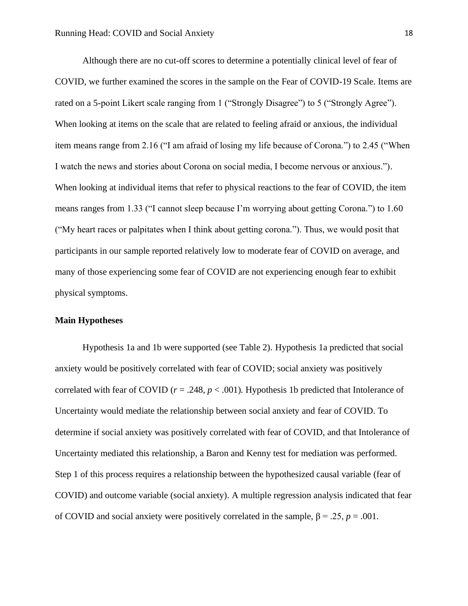Although there are no cut-off scores to determine a potentially clinical level of fear of COVID, we further examined the scores in the sample on the Fear of COVID-19 Scale. Items are rated on a 5-point Likert scale ranging from 1 ("Strongly Disagree") to 5 ("Strongly Agree"). When looking at items on the scale that are related to feeling afraid or anxious, the individual item means range from 2.16 ("I am afraid of losing my life because of Corona.") to 2.45 ("When I watch the news and stories about Corona on social media, I become nervous or anxious."). When looking at individual items that refer to physical reactions to the fear of COVID, the item means ranges from 1.33 ("I cannot sleep because I'm worrying about getting Corona.") to 1.60 ("My heart races or palpitates when I think about getting corona."). Thus, we would posit that participants in our sample reported relatively low to moderate fear of COVID on average, and many of those experiencing some fear of COVID are not experiencing enough fear to exhibit physical symptoms.

## **Main Hypotheses**

Hypothesis 1a and 1b were supported (see Table 2). Hypothesis 1a predicted that social anxiety would be positively correlated with fear of COVID; social anxiety was positively correlated with fear of COVID ( $r = .248$ ,  $p < .001$ ). Hypothesis 1b predicted that Intolerance of Uncertainty would mediate the relationship between social anxiety and fear of COVID. To determine if social anxiety was positively correlated with fear of COVID, and that Intolerance of Uncertainty mediated this relationship, a Baron and Kenny test for mediation was performed. Step 1 of this process requires a relationship between the hypothesized causal variable (fear of COVID) and outcome variable (social anxiety). A multiple regression analysis indicated that fear of COVID and social anxiety were positively correlated in the sample, β = .25, *p* = .001.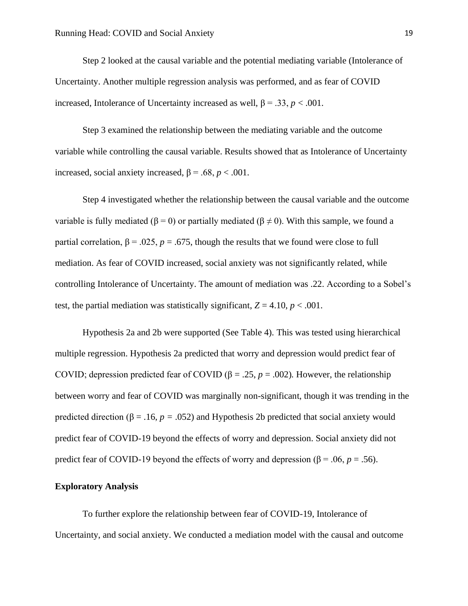Step 2 looked at the causal variable and the potential mediating variable (Intolerance of Uncertainty. Another multiple regression analysis was performed, and as fear of COVID increased, Intolerance of Uncertainty increased as well, β = .33, *p* < .001.

Step 3 examined the relationship between the mediating variable and the outcome variable while controlling the causal variable. Results showed that as Intolerance of Uncertainty increased, social anxiety increased,  $β = .68$ ,  $p < .001$ .

Step 4 investigated whether the relationship between the causal variable and the outcome variable is fully mediated ( $\beta = 0$ ) or partially mediated ( $\beta \neq 0$ ). With this sample, we found a partial correlation, β = .025, *p* = .675, though the results that we found were close to full mediation. As fear of COVID increased, social anxiety was not significantly related, while controlling Intolerance of Uncertainty. The amount of mediation was .22. According to a Sobel's test, the partial mediation was statistically significant,  $Z = 4.10$ ,  $p < .001$ .

Hypothesis 2a and 2b were supported (See Table 4). This was tested using hierarchical multiple regression. Hypothesis 2a predicted that worry and depression would predict fear of COVID; depression predicted fear of COVID (β = .25,  $p = .002$ ). However, the relationship between worry and fear of COVID was marginally non-significant, though it was trending in the predicted direction ( $\beta$  = .16, *p* = .052) and Hypothesis 2b predicted that social anxiety would predict fear of COVID-19 beyond the effects of worry and depression. Social anxiety did not predict fear of COVID-19 beyond the effects of worry and depression ( $\beta$  = .06, *p* = .56).

#### **Exploratory Analysis**

To further explore the relationship between fear of COVID-19, Intolerance of Uncertainty, and social anxiety. We conducted a mediation model with the causal and outcome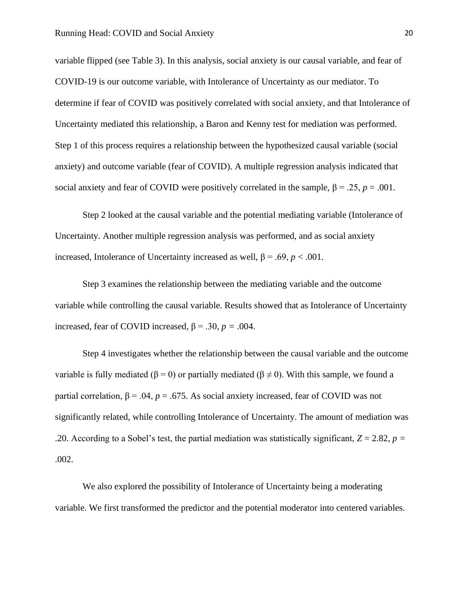variable flipped (see Table 3). In this analysis, social anxiety is our causal variable, and fear of COVID-19 is our outcome variable, with Intolerance of Uncertainty as our mediator. To determine if fear of COVID was positively correlated with social anxiety, and that Intolerance of Uncertainty mediated this relationship, a Baron and Kenny test for mediation was performed. Step 1 of this process requires a relationship between the hypothesized causal variable (social anxiety) and outcome variable (fear of COVID). A multiple regression analysis indicated that social anxiety and fear of COVID were positively correlated in the sample,  $\beta = .25$ ,  $p = .001$ .

Step 2 looked at the causal variable and the potential mediating variable (Intolerance of Uncertainty. Another multiple regression analysis was performed, and as social anxiety increased, Intolerance of Uncertainty increased as well, β = .69, *p* < .001.

Step 3 examines the relationship between the mediating variable and the outcome variable while controlling the causal variable. Results showed that as Intolerance of Uncertainty increased, fear of COVID increased,  $\beta$  = .30, *p* = .004.

Step 4 investigates whether the relationship between the causal variable and the outcome variable is fully mediated ( $\beta = 0$ ) or partially mediated ( $\beta \neq 0$ ). With this sample, we found a partial correlation, β = .04, *p* = .675. As social anxiety increased, fear of COVID was not significantly related, while controlling Intolerance of Uncertainty. The amount of mediation was .20. According to a Sobel's test, the partial mediation was statistically significant,  $Z = 2.82$ ,  $p =$ .002.

We also explored the possibility of Intolerance of Uncertainty being a moderating variable. We first transformed the predictor and the potential moderator into centered variables.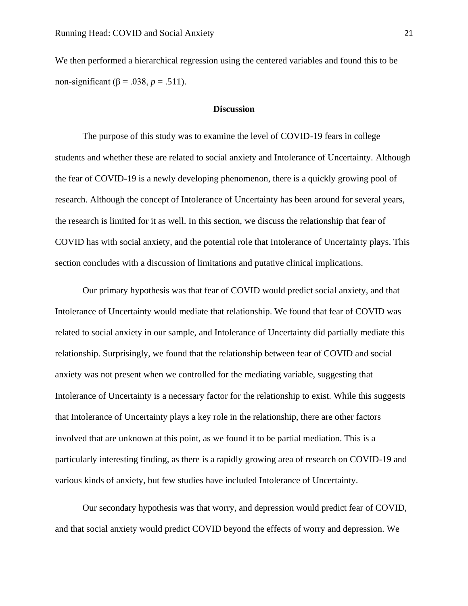We then performed a hierarchical regression using the centered variables and found this to be non-significant (β = .038, *p* = .511).

#### **Discussion**

The purpose of this study was to examine the level of COVID-19 fears in college students and whether these are related to social anxiety and Intolerance of Uncertainty. Although the fear of COVID-19 is a newly developing phenomenon, there is a quickly growing pool of research. Although the concept of Intolerance of Uncertainty has been around for several years, the research is limited for it as well. In this section, we discuss the relationship that fear of COVID has with social anxiety, and the potential role that Intolerance of Uncertainty plays. This section concludes with a discussion of limitations and putative clinical implications.

Our primary hypothesis was that fear of COVID would predict social anxiety, and that Intolerance of Uncertainty would mediate that relationship. We found that fear of COVID was related to social anxiety in our sample, and Intolerance of Uncertainty did partially mediate this relationship. Surprisingly, we found that the relationship between fear of COVID and social anxiety was not present when we controlled for the mediating variable, suggesting that Intolerance of Uncertainty is a necessary factor for the relationship to exist. While this suggests that Intolerance of Uncertainty plays a key role in the relationship, there are other factors involved that are unknown at this point, as we found it to be partial mediation. This is a particularly interesting finding, as there is a rapidly growing area of research on COVID-19 and various kinds of anxiety, but few studies have included Intolerance of Uncertainty.

Our secondary hypothesis was that worry, and depression would predict fear of COVID, and that social anxiety would predict COVID beyond the effects of worry and depression. We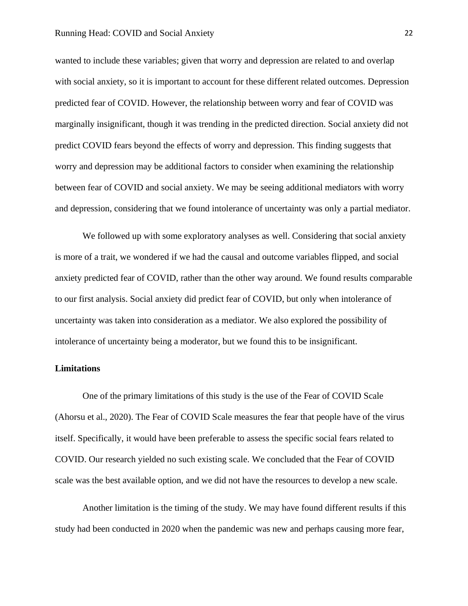#### Running Head: COVID and Social Anxiety 22

wanted to include these variables; given that worry and depression are related to and overlap with social anxiety, so it is important to account for these different related outcomes. Depression predicted fear of COVID. However, the relationship between worry and fear of COVID was marginally insignificant, though it was trending in the predicted direction. Social anxiety did not predict COVID fears beyond the effects of worry and depression. This finding suggests that worry and depression may be additional factors to consider when examining the relationship between fear of COVID and social anxiety. We may be seeing additional mediators with worry and depression, considering that we found intolerance of uncertainty was only a partial mediator.

We followed up with some exploratory analyses as well. Considering that social anxiety is more of a trait, we wondered if we had the causal and outcome variables flipped, and social anxiety predicted fear of COVID, rather than the other way around. We found results comparable to our first analysis. Social anxiety did predict fear of COVID, but only when intolerance of uncertainty was taken into consideration as a mediator. We also explored the possibility of intolerance of uncertainty being a moderator, but we found this to be insignificant.

#### **Limitations**

One of the primary limitations of this study is the use of the Fear of COVID Scale (Ahorsu et al., 2020). The Fear of COVID Scale measures the fear that people have of the virus itself. Specifically, it would have been preferable to assess the specific social fears related to COVID. Our research yielded no such existing scale. We concluded that the Fear of COVID scale was the best available option, and we did not have the resources to develop a new scale.

Another limitation is the timing of the study. We may have found different results if this study had been conducted in 2020 when the pandemic was new and perhaps causing more fear,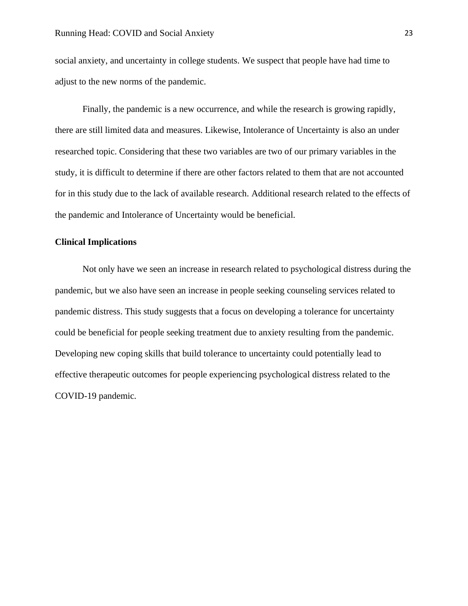social anxiety, and uncertainty in college students. We suspect that people have had time to adjust to the new norms of the pandemic.

Finally, the pandemic is a new occurrence, and while the research is growing rapidly, there are still limited data and measures. Likewise, Intolerance of Uncertainty is also an under researched topic. Considering that these two variables are two of our primary variables in the study, it is difficult to determine if there are other factors related to them that are not accounted for in this study due to the lack of available research. Additional research related to the effects of the pandemic and Intolerance of Uncertainty would be beneficial.

### **Clinical Implications**

Not only have we seen an increase in research related to psychological distress during the pandemic, but we also have seen an increase in people seeking counseling services related to pandemic distress. This study suggests that a focus on developing a tolerance for uncertainty could be beneficial for people seeking treatment due to anxiety resulting from the pandemic. Developing new coping skills that build tolerance to uncertainty could potentially lead to effective therapeutic outcomes for people experiencing psychological distress related to the COVID-19 pandemic.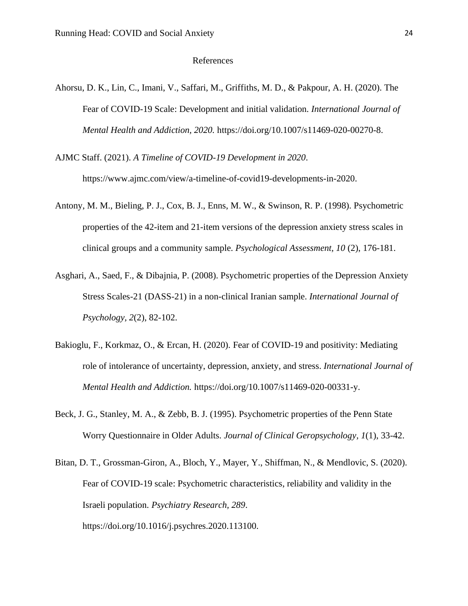#### References

- Ahorsu, D. K., Lin, C., Imani, V., Saffari, M., Griffiths, M. D., & Pakpour, A. H. (2020). The Fear of COVID-19 Scale: Development and initial validation. *International Journal of Mental Health and Addiction, 2020.* https://doi.org/10.1007/s11469-020-00270-8.
- AJMC Staff. (2021). *A Timeline of COVID-19 Development in 2020*. https://www.ajmc.com/view/a-timeline-of-covid19-developments-in-2020.
- Antony, M. M., Bieling, P. J., Cox, B. J., Enns, M. W., & Swinson, R. P. (1998). Psychometric properties of the 42-item and 21-item versions of the depression anxiety stress scales in clinical groups and a community sample. *Psychological Assessment, 10* (2), 176-181.
- Asghari, A., Saed, F., & Dibajnia, P. (2008). Psychometric properties of the Depression Anxiety Stress Scales-21 (DASS-21) in a non-clinical Iranian sample. *International Journal of Psychology, 2*(2), 82-102.
- Bakioglu, F., Korkmaz, O., & Ercan, H. (2020). Fear of COVID-19 and positivity: Mediating role of intolerance of uncertainty, depression, anxiety, and stress. *International Journal of Mental Health and Addiction.* https://doi.org/10.1007/s11469-020-00331-y.
- Beck, J. G., Stanley, M. A., & Zebb, B. J. (1995). Psychometric properties of the Penn State Worry Questionnaire in Older Adults. *Journal of Clinical Geropsychology, 1*(1), 33-42.
- Bitan, D. T., Grossman-Giron, A., Bloch, Y., Mayer, Y., Shiffman, N., & Mendlovic, S. (2020). Fear of COVID-19 scale: Psychometric characteristics, reliability and validity in the Israeli population. *Psychiatry Research, 289*. https://doi.org/10.1016/j.psychres.2020.113100.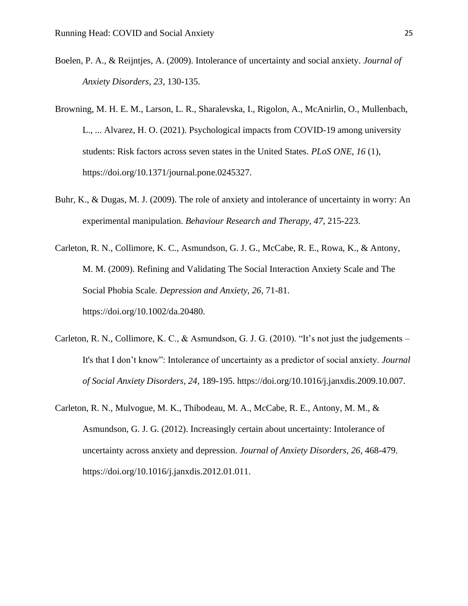- Boelen, P. A., & Reijntjes, A. (2009). Intolerance of uncertainty and social anxiety. *Journal of Anxiety Disorders, 23*, 130-135.
- Browning, M. H. E. M., Larson, L. R., Sharalevska, I., Rigolon, A., McAnirlin, O., Mullenbach, L., ... Alvarez, H. O. (2021). Psychological impacts from COVID-19 among university students: Risk factors across seven states in the United States. *PLoS ONE, 16* (1), https://doi.org/10.1371/journal.pone.0245327.
- Buhr, K., & Dugas, M. J. (2009). The role of anxiety and intolerance of uncertainty in worry: An experimental manipulation. *Behaviour Research and Therapy, 47*, 215-223.
- Carleton, R. N., Collimore, K. C., Asmundson, G. J. G., McCabe, R. E., Rowa, K., & Antony, M. M. (2009). Refining and Validating The Social Interaction Anxiety Scale and The Social Phobia Scale. *Depression and Anxiety, 26*, 71-81. https://doi.org/10.1002/da.20480.
- Carleton, R. N., Collimore, K. C., & Asmundson, G. J. G. (2010). "It's not just the judgements It's that I don't know": Intolerance of uncertainty as a predictor of social anxiety. *Journal of Social Anxiety Disorders, 24*, 189-195. https://doi.org/10.1016/j.janxdis.2009.10.007.
- Carleton, R. N., Mulvogue, M. K., Thibodeau, M. A., McCabe, R. E., Antony, M. M., & Asmundson, G. J. G. (2012). Increasingly certain about uncertainty: Intolerance of uncertainty across anxiety and depression. *Journal of Anxiety Disorders, 26*, 468-479. https://doi.org/10.1016/j.janxdis.2012.01.011.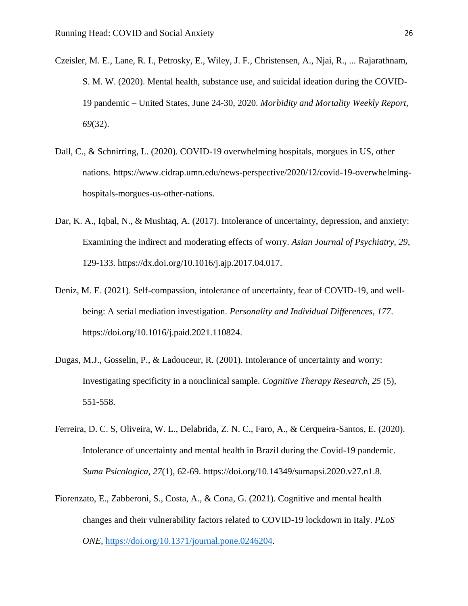- Czeisler, M. E., Lane, R. I., Petrosky, E., Wiley, J. F., Christensen, A., Njai, R., ... Rajarathnam, S. M. W. (2020). Mental health, substance use, and suicidal ideation during the COVID-19 pandemic – United States, June 24-30, 2020. *Morbidity and Mortality Weekly Report, 69*(32).
- Dall, C., & Schnirring, L. (2020). COVID-19 overwhelming hospitals, morgues in US, other nations*.* https://www.cidrap.umn.edu/news-perspective/2020/12/covid-19-overwhelminghospitals-morgues-us-other-nations.
- Dar, K. A., Iqbal, N., & Mushtaq, A. (2017). Intolerance of uncertainty, depression, and anxiety: Examining the indirect and moderating effects of worry. *Asian Journal of Psychiatry, 29*, 129-133. https://dx.doi.org/10.1016/j.ajp.2017.04.017.
- Deniz, M. E. (2021). Self-compassion, intolerance of uncertainty, fear of COVID-19, and wellbeing: A serial mediation investigation. *Personality and Individual Differences, 177*. https://doi.org/10.1016/j.paid.2021.110824.
- Dugas, M.J., Gosselin, P., & Ladouceur, R. (2001). Intolerance of uncertainty and worry: Investigating specificity in a nonclinical sample. *Cognitive Therapy Research, 25* (5)*,*  551-558.
- Ferreira, D. C. S, Oliveira, W. L., Delabrida, Z. N. C., Faro, A., & Cerqueira-Santos, E. (2020). Intolerance of uncertainty and mental health in Brazil during the Covid-19 pandemic. *Suma Psicologica, 27*(1), 62-69. https://doi.org/10.14349/sumapsi.2020.v27.n1.8.
- Fiorenzato, E., Zabberoni, S., Costa, A., & Cona, G. (2021). Cognitive and mental health changes and their vulnerability factors related to COVID-19 lockdown in Italy. *PLoS ONE,* [https://doi.org/10.1371/journal.pone.0246204.](https://doi.org/10.1371/journal.pone.0246204)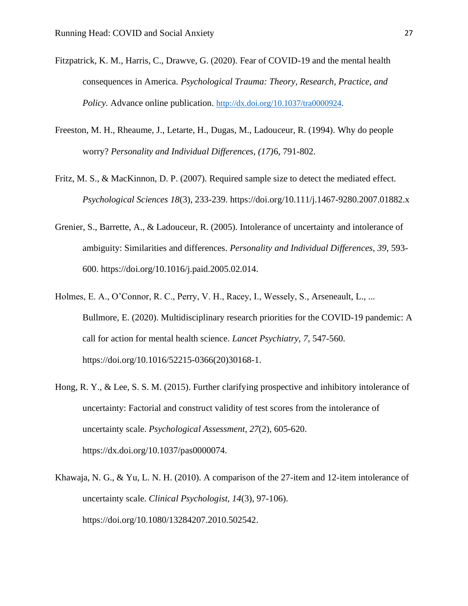- Fitzpatrick, K. M., Harris, C., Drawve, G. (2020). Fear of COVID-19 and the mental health consequences in America. *Psychological Trauma: Theory, Research, Practice, and Policy.* Advance online publication. [http://dx.doi.org/10.1037/tra0000924.](http://dx.doi.org/10.1037/tra0000924)
- Freeston, M. H., Rheaume, J., Letarte, H., Dugas, M., Ladouceur, R. (1994). Why do people worry? *Personality and Individual Differences, (17)*6, 791-802.
- Fritz, M. S., & MacKinnon, D. P. (2007). Required sample size to detect the mediated effect. *Psychological Sciences 18*(3), 233-239. https://doi.org/10.111/j.1467-9280.2007.01882.x
- Grenier, S., Barrette, A., & Ladouceur, R. (2005). Intolerance of uncertainty and intolerance of ambiguity: Similarities and differences. *Personality and Individual Differences, 39*, 593- 600. https://doi.org/10.1016/j.paid.2005.02.014.
- Holmes, E. A., O'Connor, R. C., Perry, V. H., Racey, I., Wessely, S., Arseneault, L., ... Bullmore, E. (2020). Multidisciplinary research priorities for the COVID-19 pandemic: A call for action for mental health science. *Lancet Psychiatry, 7*, 547-560. https://doi.org/10.1016/52215-0366(20)30168-1.
- Hong, R. Y., & Lee, S. S. M. (2015). Further clarifying prospective and inhibitory intolerance of uncertainty: Factorial and construct validity of test scores from the intolerance of uncertainty scale. *Psychological Assessment, 27*(2), 605-620. https://dx.doi.org/10.1037/pas0000074.
- Khawaja, N. G., & Yu, L. N. H. (2010). A comparison of the 27-item and 12-item intolerance of uncertainty scale. *Clinical Psychologist, 14*(3), 97-106). https://doi.org/10.1080/13284207.2010.502542.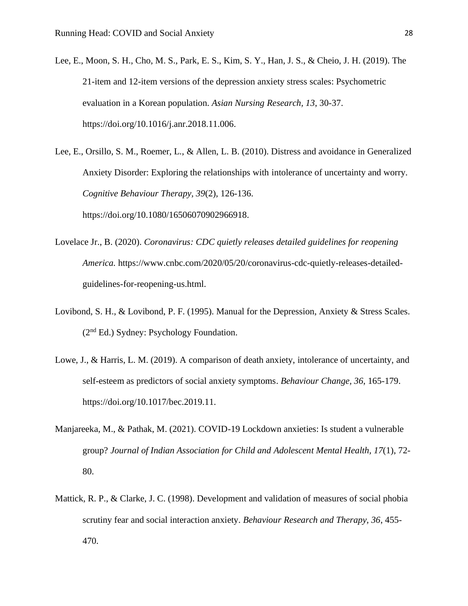- Lee, E., Moon, S. H., Cho, M. S., Park, E. S., Kim, S. Y., Han, J. S., & Cheio, J. H. (2019). The 21-item and 12-item versions of the depression anxiety stress scales: Psychometric evaluation in a Korean population. *Asian Nursing Research, 13*, 30-37. https://doi.org/10.1016/j.anr.2018.11.006.
- Lee, E., Orsillo, S. M., Roemer, L., & Allen, L. B. (2010). Distress and avoidance in Generalized Anxiety Disorder: Exploring the relationships with intolerance of uncertainty and worry. *Cognitive Behaviour Therapy, 39*(2), 126-136. https://doi.org/10.1080/16506070902966918.
- Lovelace Jr., B. (2020). *Coronavirus: CDC quietly releases detailed guidelines for reopening America.* https://www.cnbc.com/2020/05/20/coronavirus-cdc-quietly-releases-detailedguidelines-for-reopening-us.html.
- Lovibond, S. H., & Lovibond, P. F. (1995). Manual for the Depression, Anxiety & Stress Scales. (2nd Ed.) Sydney: Psychology Foundation.
- Lowe, J., & Harris, L. M. (2019). A comparison of death anxiety, intolerance of uncertainty, and self-esteem as predictors of social anxiety symptoms. *Behaviour Change, 36*, 165-179. https://doi.org/10.1017/bec.2019.11.
- Manjareeka, M., & Pathak, M. (2021). COVID-19 Lockdown anxieties: Is student a vulnerable group? *Journal of Indian Association for Child and Adolescent Mental Health, 17*(1), 72- 80.
- Mattick, R. P., & Clarke, J. C. (1998). Development and validation of measures of social phobia scrutiny fear and social interaction anxiety. *Behaviour Research and Therapy, 36*, 455- 470.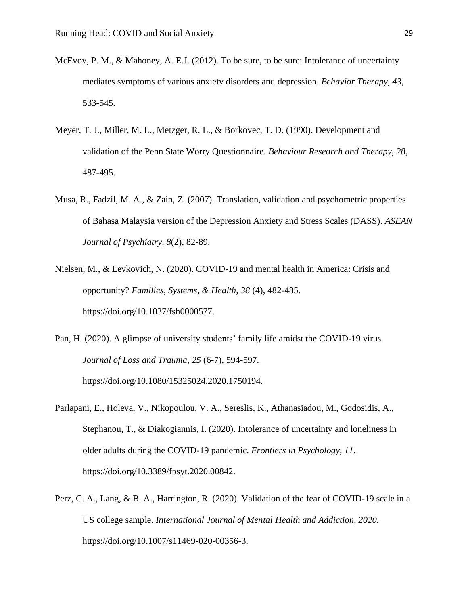- McEvoy, P. M., & Mahoney, A. E.J. (2012). To be sure, to be sure: Intolerance of uncertainty mediates symptoms of various anxiety disorders and depression. *Behavior Therapy, 43*, 533-545.
- Meyer, T. J., Miller, M. L., Metzger, R. L., & Borkovec, T. D. (1990). Development and validation of the Penn State Worry Questionnaire. *Behaviour Research and Therapy, 28*, 487-495.
- Musa, R., Fadzil, M. A., & Zain, Z. (2007). Translation, validation and psychometric properties of Bahasa Malaysia version of the Depression Anxiety and Stress Scales (DASS). *ASEAN Journal of Psychiatry, 8*(2), 82-89.
- Nielsen, M., & Levkovich, N. (2020). COVID-19 and mental health in America: Crisis and opportunity? *Families, Systems, & Health, 38* (4), 482-485. https://doi.org/10.1037/fsh0000577.
- Pan, H. (2020). A glimpse of university students' family life amidst the COVID-19 virus. *Journal of Loss and Trauma, 25* (6-7), 594-597. https://doi.org/10.1080/15325024.2020.1750194.
- Parlapani, E., Holeva, V., Nikopoulou, V. A., Sereslis, K., Athanasiadou, M., Godosidis, A., Stephanou, T., & Diakogiannis, I. (2020). Intolerance of uncertainty and loneliness in older adults during the COVID-19 pandemic. *Frontiers in Psychology, 11*. https://doi.org/10.3389/fpsyt.2020.00842.
- Perz, C. A., Lang, & B. A., Harrington, R. (2020). Validation of the fear of COVID-19 scale in a US college sample. *International Journal of Mental Health and Addiction, 2020.*  https://doi.org/10.1007/s11469-020-00356-3.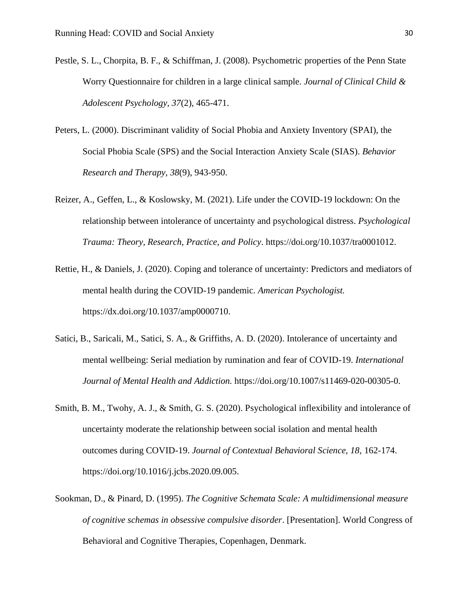- Pestle, S. L., Chorpita, B. F., & Schiffman, J. (2008). Psychometric properties of the Penn State Worry Questionnaire for children in a large clinical sample. *Journal of Clinical Child & Adolescent Psychology, 37*(2), 465-471.
- Peters, L. (2000). Discriminant validity of Social Phobia and Anxiety Inventory (SPAI), the Social Phobia Scale (SPS) and the Social Interaction Anxiety Scale (SIAS). *Behavior Research and Therapy, 38*(9), 943-950.
- Reizer, A., Geffen, L., & Koslowsky, M. (2021). Life under the COVID-19 lockdown: On the relationship between intolerance of uncertainty and psychological distress. *Psychological Trauma: Theory, Research, Practice, and Policy*. https://doi.org/10.1037/tra0001012.
- Rettie, H., & Daniels, J. (2020). Coping and tolerance of uncertainty: Predictors and mediators of mental health during the COVID-19 pandemic. *American Psychologist.*  https://dx.doi.org/10.1037/amp0000710.
- Satici, B., Saricali, M., Satici, S. A., & Griffiths, A. D. (2020). Intolerance of uncertainty and mental wellbeing: Serial mediation by rumination and fear of COVID-19. *International Journal of Mental Health and Addiction.* https://doi.org/10.1007/s11469-020-00305-0.
- Smith, B. M., Twohy, A. J., & Smith, G. S. (2020). Psychological inflexibility and intolerance of uncertainty moderate the relationship between social isolation and mental health outcomes during COVID-19. *Journal of Contextual Behavioral Science, 18,* 162-174. https://doi.org/10.1016/j.jcbs.2020.09.005.
- Sookman, D., & Pinard, D. (1995). *The Cognitive Schemata Scale: A multidimensional measure of cognitive schemas in obsessive compulsive disorder*. [Presentation]. World Congress of Behavioral and Cognitive Therapies, Copenhagen, Denmark.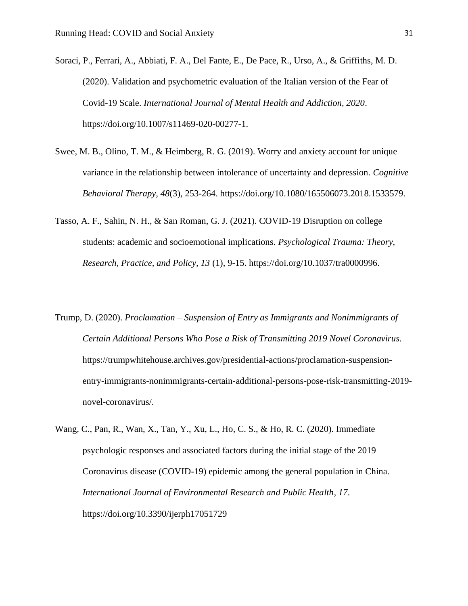Soraci, P., Ferrari, A., Abbiati, F. A., Del Fante, E., De Pace, R., Urso, A., & Griffiths, M. D. (2020). Validation and psychometric evaluation of the Italian version of the Fear of Covid-19 Scale. *International Journal of Mental Health and Addiction, 2020*. https://doi.org/10.1007/s11469-020-00277-1.

- Swee, M. B., Olino, T. M., & Heimberg, R. G. (2019). Worry and anxiety account for unique variance in the relationship between intolerance of uncertainty and depression. *Cognitive Behavioral Therapy, 48*(3), 253-264. https://doi.org/10.1080/165506073.2018.1533579.
- Tasso, A. F., Sahin, N. H., & San Roman, G. J. (2021). COVID-19 Disruption on college students: academic and socioemotional implications. *Psychological Trauma: Theory, Research, Practice, and Policy, 13* (1), 9-15. https://doi.org/10.1037/tra0000996.
- Trump, D. (2020). *Proclamation – Suspension of Entry as Immigrants and Nonimmigrants of Certain Additional Persons Who Pose a Risk of Transmitting 2019 Novel Coronavirus.*  https://trumpwhitehouse.archives.gov/presidential-actions/proclamation-suspensionentry-immigrants-nonimmigrants-certain-additional-persons-pose-risk-transmitting-2019 novel-coronavirus/.
- Wang, C., Pan, R., Wan, X., Tan, Y., Xu, L., Ho, C. S., & Ho, R. C. (2020). Immediate psychologic responses and associated factors during the initial stage of the 2019 Coronavirus disease (COVID-19) epidemic among the general population in China. *International Journal of Environmental Research and Public Health, 17*. https://doi.org/10.3390/ijerph17051729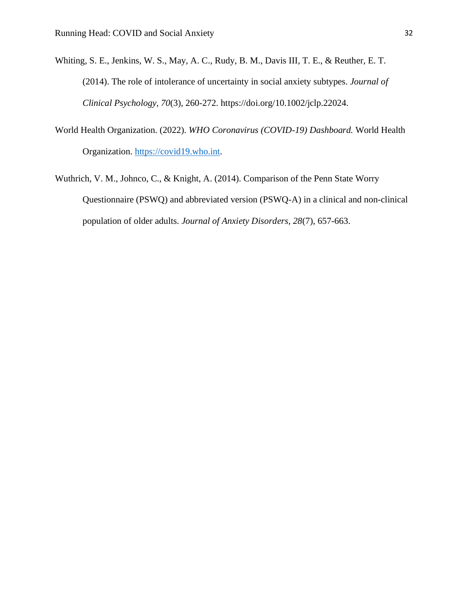- Whiting, S. E., Jenkins, W. S., May, A. C., Rudy, B. M., Davis III, T. E., & Reuther, E. T. (2014). The role of intolerance of uncertainty in social anxiety subtypes. *Journal of Clinical Psychology, 70*(3), 260-272. https://doi.org/10.1002/jclp.22024.
- World Health Organization. (2022). *WHO Coronavirus (COVID-19) Dashboard.* World Health Organization. [https://covid19.who.int.](https://covid19.who.int/)
- Wuthrich, V. M., Johnco, C., & Knight, A. (2014). Comparison of the Penn State Worry Questionnaire (PSWQ) and abbreviated version (PSWQ-A) in a clinical and non-clinical population of older adults. *Journal of Anxiety Disorders, 28*(7), 657-663.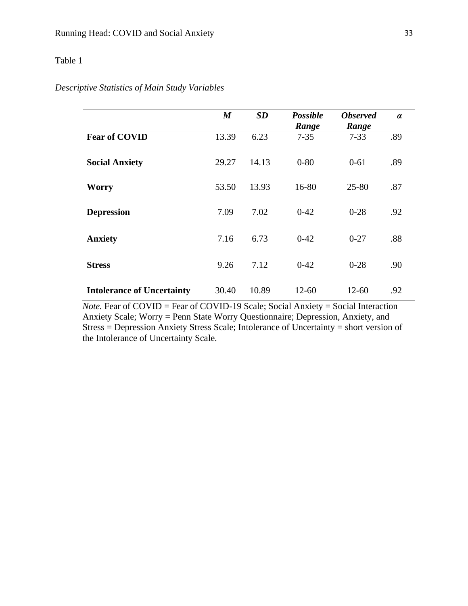## Table 1

## *Descriptive Statistics of Main Study Variables*

|                                   | $\boldsymbol{M}$ | SD    | <b>Possible</b><br>Range | <b>Observed</b><br>Range | $\alpha$ |
|-----------------------------------|------------------|-------|--------------------------|--------------------------|----------|
| <b>Fear of COVID</b>              | 13.39            | 6.23  | $7 - 35$                 | $7 - 33$                 | .89      |
| <b>Social Anxiety</b>             | 29.27            | 14.13 | $0 - 80$                 | $0 - 61$                 | .89      |
| <b>Worry</b>                      | 53.50            | 13.93 | 16-80                    | $25 - 80$                | .87      |
| <b>Depression</b>                 | 7.09             | 7.02  | $0 - 42$                 | $0 - 28$                 | .92      |
| <b>Anxiety</b>                    | 7.16             | 6.73  | $0-42$                   | $0 - 27$                 | .88      |
| <b>Stress</b>                     | 9.26             | 7.12  | $0 - 42$                 | $0 - 28$                 | .90      |
| <b>Intolerance of Uncertainty</b> | 30.40            | 10.89 | $12 - 60$                | $12 - 60$                | .92      |

*Note.* Fear of COVID = Fear of COVID-19 Scale; Social Anxiety = Social Interaction Anxiety Scale; Worry = Penn State Worry Questionnaire; Depression, Anxiety, and Stress = Depression Anxiety Stress Scale; Intolerance of Uncertainty = short version of the Intolerance of Uncertainty Scale.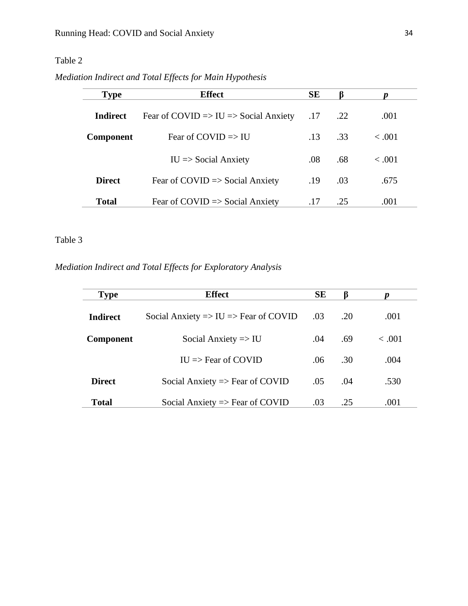## Table 2

*Mediation Indirect and Total Effects for Main Hypothesis*

| <b>Type</b>      | <b>Effect</b>                                               | <b>SE</b> | ß   | n           |
|------------------|-------------------------------------------------------------|-----------|-----|-------------|
| Indirect         | Fear of COVID $\Rightarrow$ IU $\Rightarrow$ Social Anxiety | .17       | .22 | .001        |
| <b>Component</b> | Fear of COVID $\Rightarrow$ IU                              | .13       | .33 | $\leq .001$ |
|                  | $IU \Rightarrow Social Answer$                              | .08       | .68 | < 0.001     |
| <b>Direct</b>    | Fear of COVID $\Rightarrow$ Social Anxiety                  | .19       | .03 | .675        |
| <b>Total</b>     | Fear of COVID $\Rightarrow$ Social Anxiety                  | .17       | .25 | .001        |

## Table 3

*Mediation Indirect and Total Effects for Exploratory Analysis*

| <b>Type</b>      | <b>Effect</b>                                               | <b>SE</b> | B   |         |
|------------------|-------------------------------------------------------------|-----------|-----|---------|
| <b>Indirect</b>  | Social Anxiety $\Rightarrow$ IU $\Rightarrow$ Fear of COVID | .03       | .20 | .001    |
| <b>Component</b> | Social Anxiety $\Rightarrow$ IU                             | .04       | .69 | < 0.001 |
|                  | $IU \Rightarrow$ Fear of COVID                              | .06       | .30 | .004    |
| <b>Direct</b>    | Social Anxiety $\Rightarrow$ Fear of COVID                  | .05       | .04 | .530    |
| <b>Total</b>     | Social Anxiety $\Rightarrow$ Fear of COVID                  | .03       | .25 | .001    |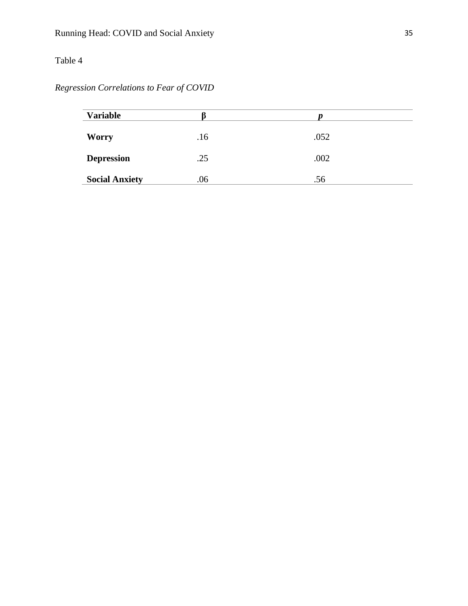# Table 4

*Regression Correlations to Fear of COVID*

| <b>Variable</b>       |     |      |
|-----------------------|-----|------|
| <b>Worry</b>          | .16 | .052 |
| <b>Depression</b>     | .25 | .002 |
| <b>Social Anxiety</b> | .06 | .56  |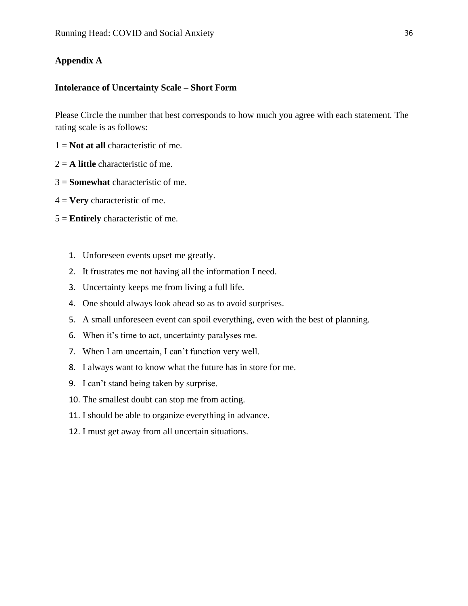## **Appendix A**

### **Intolerance of Uncertainty Scale – Short Form**

Please Circle the number that best corresponds to how much you agree with each statement. The rating scale is as follows:

- 1 = **Not at all** characteristic of me.
- 2 = **A little** characteristic of me.
- 3 = **Somewhat** characteristic of me.
- 4 = **Very** characteristic of me.
- 5 = **Entirely** characteristic of me.
	- 1. Unforeseen events upset me greatly.
	- 2. It frustrates me not having all the information I need.
	- 3. Uncertainty keeps me from living a full life.
	- 4. One should always look ahead so as to avoid surprises.
	- 5. A small unforeseen event can spoil everything, even with the best of planning.
	- 6. When it's time to act, uncertainty paralyses me.
	- 7. When I am uncertain, I can't function very well.
	- 8. I always want to know what the future has in store for me.
	- 9. I can't stand being taken by surprise.
	- 10. The smallest doubt can stop me from acting.
	- 11. I should be able to organize everything in advance.
	- 12. I must get away from all uncertain situations.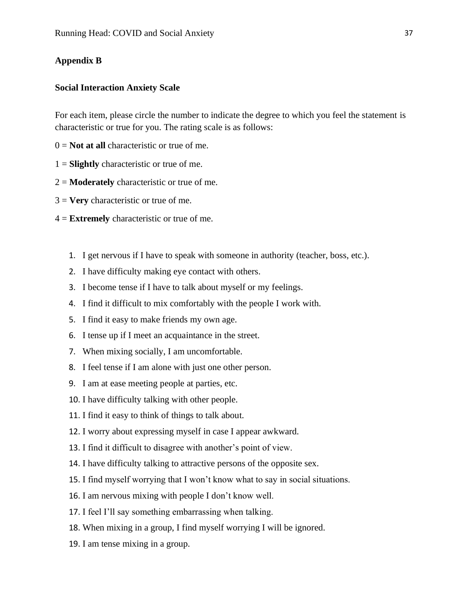## **Appendix B**

### **Social Interaction Anxiety Scale**

For each item, please circle the number to indicate the degree to which you feel the statement is characteristic or true for you. The rating scale is as follows:

- $0 =$ **Not at all** characteristic or true of me.
- 1 = **Slightly** characteristic or true of me.
- 2 = **Moderately** characteristic or true of me.
- 3 = **Very** characteristic or true of me.
- 4 = **Extremely** characteristic or true of me.
	- 1. I get nervous if I have to speak with someone in authority (teacher, boss, etc.).
	- 2. I have difficulty making eye contact with others.
	- 3. I become tense if I have to talk about myself or my feelings.
	- 4. I find it difficult to mix comfortably with the people I work with.
	- 5. I find it easy to make friends my own age.
	- 6. I tense up if I meet an acquaintance in the street.
	- 7. When mixing socially, I am uncomfortable.
	- 8. I feel tense if I am alone with just one other person.
	- 9. I am at ease meeting people at parties, etc.
	- 10. I have difficulty talking with other people.
	- 11. I find it easy to think of things to talk about.
	- 12. I worry about expressing myself in case I appear awkward.
	- 13. I find it difficult to disagree with another's point of view.
	- 14. I have difficulty talking to attractive persons of the opposite sex.
	- 15. I find myself worrying that I won't know what to say in social situations.
	- 16. I am nervous mixing with people I don't know well.
	- 17. I feel I'll say something embarrassing when talking.
	- 18. When mixing in a group, I find myself worrying I will be ignored.
	- 19. I am tense mixing in a group.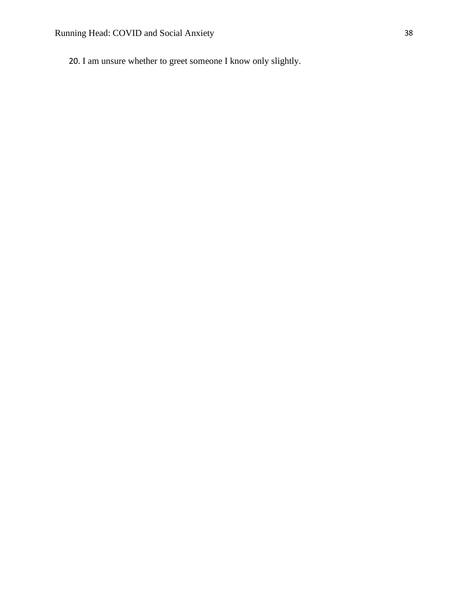20. I am unsure whether to greet someone I know only slightly.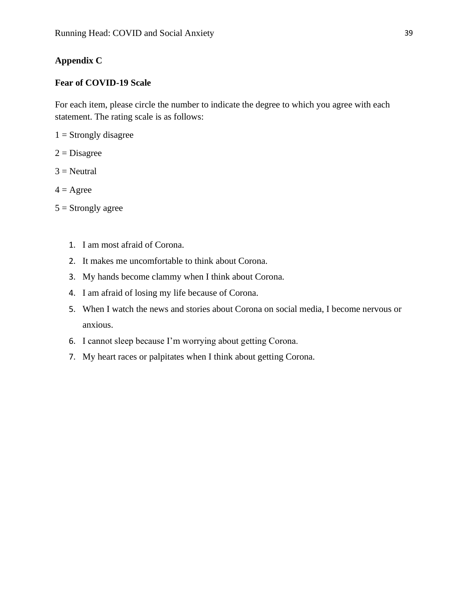## **Appendix C**

## **Fear of COVID-19 Scale**

For each item, please circle the number to indicate the degree to which you agree with each statement. The rating scale is as follows:

 $1 =$  Strongly disagree

 $2 = Disagree$ 

 $3$  = Neutral

- $4 = \text{Agree}$
- $5 =$ Strongly agree
	- 1. I am most afraid of Corona.
	- 2. It makes me uncomfortable to think about Corona.
	- 3. My hands become clammy when I think about Corona.
	- 4. I am afraid of losing my life because of Corona.
	- 5. When I watch the news and stories about Corona on social media, I become nervous or anxious.
	- 6. I cannot sleep because I'm worrying about getting Corona.
	- 7. My heart races or palpitates when I think about getting Corona.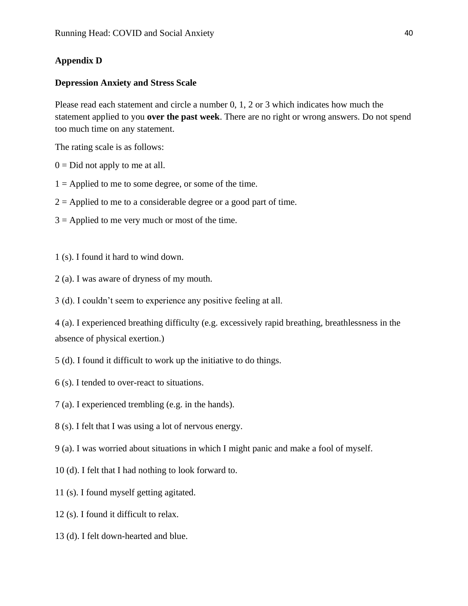## **Appendix D**

#### **Depression Anxiety and Stress Scale**

Please read each statement and circle a number 0, 1, 2 or 3 which indicates how much the statement applied to you **over the past week**. There are no right or wrong answers. Do not spend too much time on any statement.

The rating scale is as follows:

- $0 = Did$  not apply to me at all.
- $1 =$  Applied to me to some degree, or some of the time.
- $2 =$  Applied to me to a considerable degree or a good part of time.
- $3 =$  Applied to me very much or most of the time.
- 1 (s). I found it hard to wind down.
- 2 (a). I was aware of dryness of my mouth.

3 (d). I couldn't seem to experience any positive feeling at all.

4 (a). I experienced breathing difficulty (e.g. excessively rapid breathing, breathlessness in the absence of physical exertion.)

- 5 (d). I found it difficult to work up the initiative to do things.
- 6 (s). I tended to over-react to situations.
- 7 (a). I experienced trembling (e.g. in the hands).
- 8 (s). I felt that I was using a lot of nervous energy.
- 9 (a). I was worried about situations in which I might panic and make a fool of myself.
- 10 (d). I felt that I had nothing to look forward to.
- 11 (s). I found myself getting agitated.
- 12 (s). I found it difficult to relax.
- 13 (d). I felt down-hearted and blue.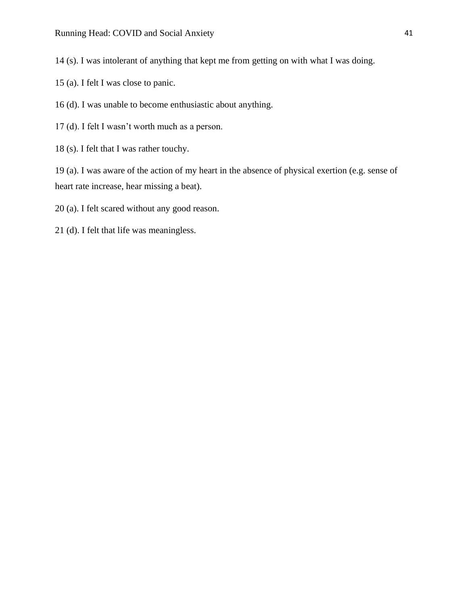14 (s). I was intolerant of anything that kept me from getting on with what I was doing.

- 15 (a). I felt I was close to panic.
- 16 (d). I was unable to become enthusiastic about anything.
- 17 (d). I felt I wasn't worth much as a person.
- 18 (s). I felt that I was rather touchy.

19 (a). I was aware of the action of my heart in the absence of physical exertion (e.g. sense of heart rate increase, hear missing a beat).

- 20 (a). I felt scared without any good reason.
- 21 (d). I felt that life was meaningless.